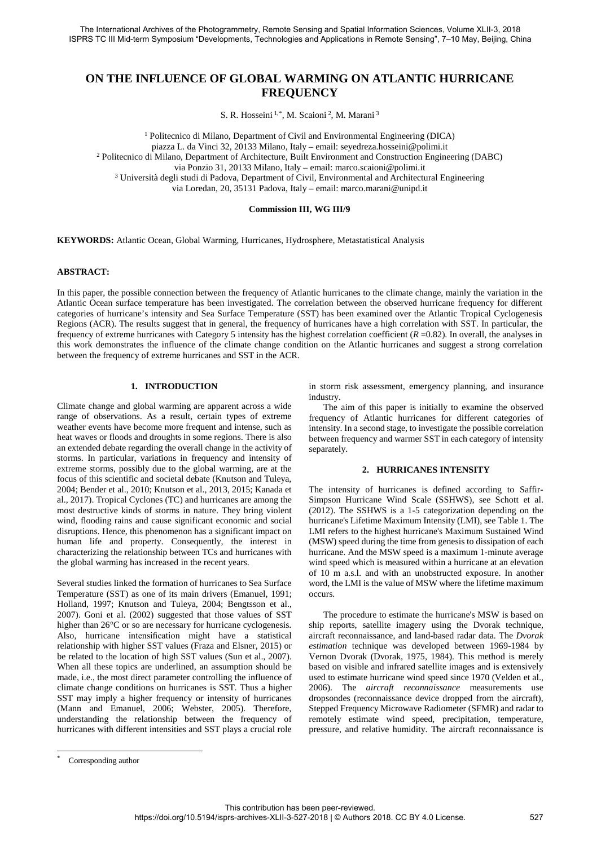# **ON THE INFLUENCE OF GLOBAL WARMING ON ATLANTIC HURRICANE FREQUENCY**

S. R. Hosseini<sup>1,[\\*](#page-0-0)</sup>, M. Scaioni<sup>2</sup>, M. Marani<sup>3</sup>

<sup>1</sup> Politecnico di Milano, Department of Civil and Environmental Engineering (DICA) piazza L. da Vinci 32, 20133 Milano, Italy – email: seyedreza.hosseini@polimi.it <sup>2</sup> Politecnico di Milano, Department of Architecture, Built Environment and Construction Engineering (DABC) via Ponzio 31, 20133 Milano, Italy – email: marco.scaioni@polimi.it <sup>3</sup> Università degli studi di Padova, Department of Civil, Environmental and Architectural Engineering via Loredan, 20, 35131 Padova, Italy – email: marco.marani@unipd.it

## **Commission III, WG III/9**

**KEYWORDS:** Atlantic Ocean, Global Warming, Hurricanes, Hydrosphere, Metastatistical Analysis

### **ABSTRACT:**

In this paper, the possible connection between the frequency of Atlantic hurricanes to the climate change, mainly the variation in the Atlantic Ocean surface temperature has been investigated. The correlation between the observed hurricane frequency for different categories of hurricane's intensity and Sea Surface Temperature (SST) has been examined over the Atlantic Tropical Cyclogenesis Regions (ACR). The results suggest that in general, the frequency of hurricanes have a high correlation with SST. In particular, the frequency of extreme hurricanes with Category 5 intensity has the highest correlation coefficient (*R* =0.82). In overall, the analyses in this work demonstrates the influence of the climate change condition on the Atlantic hurricanes and suggest a strong correlation between the frequency of extreme hurricanes and SST in the ACR.

## **1. INTRODUCTION**

Climate change and global warming are apparent across a wide range of observations. As a result, certain types of extreme weather events have become more frequent and intense, such as heat waves or floods and droughts in some regions. There is also an extended debate regarding the overall change in the activity of storms. In particular, variations in frequency and intensity of extreme storms, possibly due to the global warming, are at the focus of this scientific and societal debate (Knutson and Tuleya, 2004; Bender et al., 2010; Knutson et al., 2013, 2015; Kanada et al., 2017). Tropical Cyclones (TC) and hurricanes are among the most destructive kinds of storms in nature. They bring violent wind, flooding rains and cause significant economic and social disruptions. Hence, this phenomenon has a significant impact on human life and property. Consequently, the interest in characterizing the relationship between TCs and hurricanes with the global warming has increased in the recent years.

Several studies linked the formation of hurricanes to Sea Surface Temperature (SST) as one of its main drivers (Emanuel, 1991; Holland, 1997; Knutson and Tuleya, 2004; Bengtsson et al., 2007). Goni et al. (2002) suggested that those values of SST higher than 26°C or so are necessary for hurricane cyclogenesis. Also, hurricane intensification might have a statistical relationship with higher SST values (Fraza and Elsner, 2015) or be related to the location of high SST values (Sun et al., 2007). When all these topics are underlined, an assumption should be made, i.e., the most direct parameter controlling the influence of climate change conditions on hurricanes is SST. Thus a higher SST may imply a higher frequency or intensity of hurricanes (Mann and Emanuel, 2006; Webster, 2005). Therefore, understanding the relationship between the frequency of hurricanes with different intensities and SST plays a crucial role

in storm risk assessment, emergency planning, and insurance industry.

The aim of this paper is initially to examine the observed frequency of Atlantic hurricanes for different categories of intensity. In a second stage, to investigate the possible correlation between frequency and warmer SST in each category of intensity separately.

### **2. HURRICANES INTENSITY**

The intensity of hurricanes is defined according to Saffir-Simpson Hurricane Wind Scale (SSHWS), see Schott et al. (2012). The SSHWS is a 1-5 categorization depending on the hurricane's Lifetime Maximum Intensity (LMI), see Table 1. The LMI refers to the highest hurricane's Maximum Sustained Wind (MSW) speed during the time from genesis to dissipation of each hurricane. And the MSW speed is a maximum 1-minute average wind speed which is measured within a hurricane at an elevation of 10 m a.s.l. and with an unobstructed exposure. In another word, the LMI is the value of MSW where the lifetime maximum occurs.

The procedure to estimate the hurricane's MSW is based on ship reports, satellite imagery using the Dvorak technique, aircraft reconnaissance, and land-based radar data. The *Dvorak estimation* technique was developed between 1969-1984 by Vernon Dvorak (Dvorak, 1975, 1984). This method is merely based on visible and infrared satellite images and is extensively used to estimate hurricane wind speed since 1970 (Velden et al., 2006). The *aircraft reconnaissance* measurements use dropsondes (reconnaissance device dropped from the aircraft), Stepped Frequency Microwave Radiometer (SFMR) and radar to remotely estimate wind speed, precipitation, temperature, pressure, and relative humidity. The aircraft reconnaissance is

<span id="page-0-0"></span>1

Corresponding author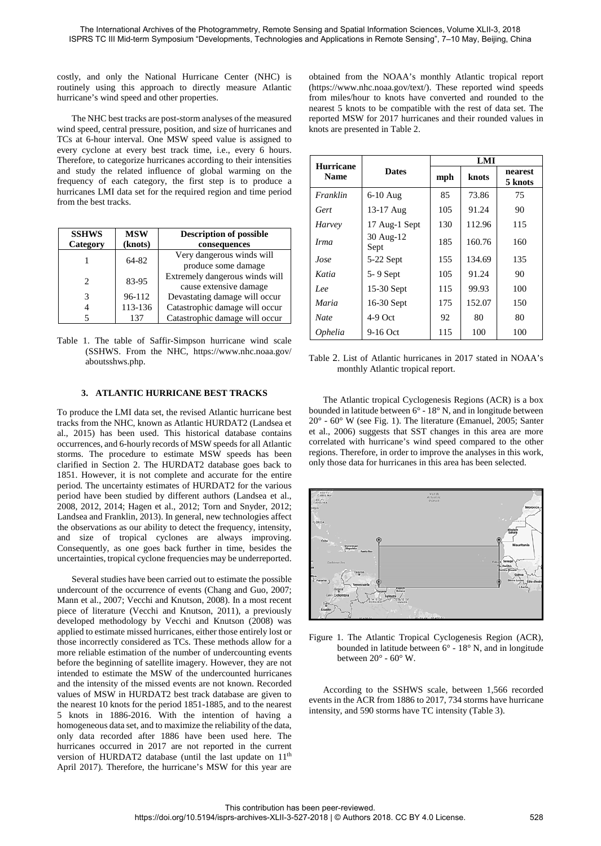costly, and only the National Hurricane Center (NHC) is routinely using this approach to directly measure Atlantic hurricane's wind speed and other properties.

The NHC best tracks are post-storm analyses of the measured wind speed, central pressure, position, and size of hurricanes and TCs at 6-hour interval. One MSW speed value is assigned to every cyclone at every best track time, i.e., every 6 hours. Therefore, to categorize hurricanes according to their intensities and study the related influence of global warming on the frequency of each category, the first step is to produce a hurricanes LMI data set for the required region and time period from the best tracks.

| <b>SSHWS</b><br>Category | <b>MSW</b><br>(knots) | <b>Description of possible</b><br>consequences           |
|--------------------------|-----------------------|----------------------------------------------------------|
|                          | 64-82                 | Very dangerous winds will<br>produce some damage         |
| 2                        | 83-95                 | Extremely dangerous winds will<br>cause extensive damage |
| 3                        | 96-112                | Devastating damage will occur                            |
|                          | 113-136               | Catastrophic damage will occur                           |
|                          | 137                   | Catastrophic damage will occur                           |

Table 1. The table of Saffir-Simpson hurricane wind scale (SSHWS. From the NHC, https://www.nhc.noaa.gov/ aboutsshws.php.

# **3. ATLANTIC HURRICANE BEST TRACKS**

To produce the LMI data set, the revised Atlantic hurricane best tracks from the NHC, known as Atlantic HURDAT2 (Landsea et al., 2015) has been used. This historical database contains occurrences, and 6-hourly records of MSW speeds for all Atlantic storms. The procedure to estimate MSW speeds has been clarified in Section 2. The HURDAT2 database goes back to 1851. However, it is not complete and accurate for the entire period. The uncertainty estimates of HURDAT2 for the various period have been studied by different authors (Landsea et al., 2008, 2012, 2014; Hagen et al., 2012; Torn and Snyder, 2012; Landsea and Franklin, 2013). In general, new technologies affect the observations as our ability to detect the frequency, intensity, and size of tropical cyclones are always improving. Consequently, as one goes back further in time, besides the uncertainties, tropical cyclone frequencies may be underreported.

Several studies have been carried out to estimate the possible undercount of the occurrence of events (Chang and Guo, 2007; Mann et al., 2007; Vecchi and Knutson, 2008). In a most recent piece of literature (Vecchi and Knutson, 2011), a previously developed methodology by Vecchi and Knutson (2008) was applied to estimate missed hurricanes, either those entirely lost or those incorrectly considered as TCs. These methods allow for a more reliable estimation of the number of undercounting events before the beginning of satellite imagery. However, they are not intended to estimate the MSW of the undercounted hurricanes and the intensity of the missed events are not known. Recorded values of MSW in HURDAT2 best track database are given to the nearest 10 knots for the period 1851-1885, and to the nearest 5 knots in 1886-2016. With the intention of having a homogeneous data set, and to maximize the reliability of the data, only data recorded after 1886 have been used here. The hurricanes occurred in 2017 are not reported in the current version of HURDAT2 database (until the last update on  $11<sup>th</sup>$ April 2017). Therefore, the hurricane's MSW for this year are

obtained from the NOAA's monthly Atlantic tropical report [\(https://www.nhc.noaa.gov/text/\)](https://www.nhc.noaa.gov/text/). These reported wind speeds from miles/hour to knots have converted and rounded to the nearest 5 knots to be compatible with the rest of data set. The reported MSW for 2017 hurricanes and their rounded values in knots are presented in Table 2.

| <b>Hurricane</b> | <b>Dates</b>      | LMI |        |                    |
|------------------|-------------------|-----|--------|--------------------|
| <b>Name</b>      |                   | mph | knots  | nearest<br>5 knots |
| Franklin         | $6-10$ Aug        | 85  | 73.86  | 75                 |
| Gert             | 13-17 Aug         | 105 | 91.24  | 90                 |
| Harvey           | 17 Aug-1 Sept     | 130 | 112.96 | 115                |
| <i>Irma</i>      | 30 Aug-12<br>Sept | 185 | 160.76 | 160                |
| Jose             | $5-22$ Sept       | 155 | 134.69 | 135                |
| Katia            | $5 - 9$ Sept      | 105 | 91.24  | 90                 |
| Lee              | 15-30 Sept        | 115 | 99.93  | 100                |
| Maria            | 16-30 Sept        | 175 | 152.07 | 150                |
| <b>Nate</b>      | $4-9$ Oct         | 92  | 80     | 80                 |
| <i>Ophelia</i>   | 9-16 Oct          | 115 | 100    | 100                |

Table 2. List of Atlantic hurricanes in 2017 stated in NOAA's monthly Atlantic tropical report.

The Atlantic tropical Cyclogenesis Regions (ACR) is a box bounded in latitude between 6° - 18° N, and in longitude between 20° - 60° W (see Fig. 1). The literature (Emanuel, 2005; Santer et al., 2006) suggests that SST changes in this area are more correlated with hurricane's wind speed compared to the other regions. Therefore, in order to improve the analyses in this work, only those data for hurricanes in this area has been selected.



Figure 1. The Atlantic Tropical Cyclogenesis Region (ACR), bounded in latitude between 6° - 18° N, and in longitude between  $20^{\circ}$  -  $60^{\circ}$  W.

According to the SSHWS scale, between 1,566 recorded events in the ACR from 1886 to 2017, 734 storms have hurricane intensity, and 590 storms have TC intensity (Table 3).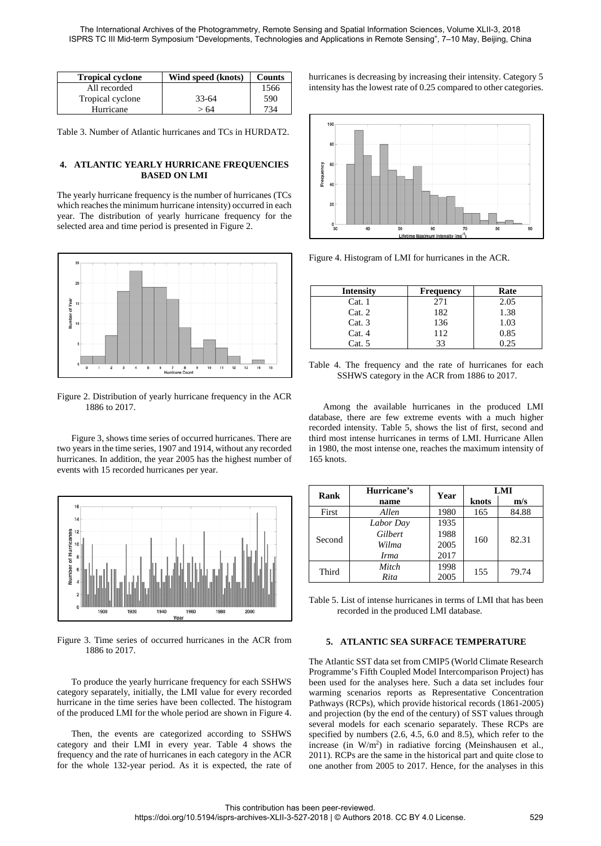| <b>Tropical cyclone</b> | Wind speed (knots) | <b>Counts</b> |
|-------------------------|--------------------|---------------|
| All recorded            |                    | 1566          |
| Tropical cyclone        | $33 - 64$          | 590           |
| Hurricane               | > 64               | 734           |

Table 3. Number of Atlantic hurricanes and TCs in HURDAT2.

# **4. ATLANTIC YEARLY HURRICANE FREQUENCIES BASED ON LMI**

The yearly hurricane frequency is the number of hurricanes (TCs which reaches the minimum hurricane intensity) occurred in each year. The distribution of yearly hurricane frequency for the selected area and time period is presented in Figure 2.



Figure 2. Distribution of yearly hurricane frequency in the ACR 1886 to 2017.

Figure 3, shows time series of occurred hurricanes. There are two years in the time series, 1907 and 1914, without any recorded hurricanes. In addition, the year 2005 has the highest number of events with 15 recorded hurricanes per year.



Figure 3. Time series of occurred hurricanes in the ACR from 1886 to 2017.

To produce the yearly hurricane frequency for each SSHWS category separately, initially, the LMI value for every recorded hurricane in the time series have been collected. The histogram of the produced LMI for the whole period are shown in Figure 4.

Then, the events are categorized according to SSHWS category and their LMI in every year. Table 4 shows the frequency and the rate of hurricanes in each category in the ACR for the whole 132-year period. As it is expected, the rate of hurricanes is decreasing by increasing their intensity. Category 5 intensity has the lowest rate of 0.25 compared to other categories.



Figure 4. Histogram of LMI for hurricanes in the ACR.

| <b>Intensity</b> | <b>Frequency</b> | Rate |
|------------------|------------------|------|
| Cat.1            | 271              | 2.05 |
| Cat. 2           | 182              | 1.38 |
| Cat.3            | 136              | 1.03 |
| Cat.4            | 112              | 0.85 |
| Cat. 5           | 33               | 0.25 |

Table 4. The frequency and the rate of hurricanes for each SSHWS category in the ACR from 1886 to 2017.

Among the available hurricanes in the produced LMI database, there are few extreme events with a much higher recorded intensity. Table 5, shows the list of first, second and third most intense hurricanes in terms of LMI. Hurricane Allen in 1980, the most intense one, reaches the maximum intensity of 165 knots.

| Rank   | Hurricane's | Year | LMI   |       |
|--------|-------------|------|-------|-------|
|        | name        |      | knots | m/s   |
| First  | Allen       | 1980 | 165   | 84.88 |
| Second | Labor Day   | 1935 |       |       |
|        | Gilbert     | 1988 | 160   | 82.31 |
|        | Wilma       | 2005 |       |       |
|        | <i>Irma</i> | 2017 |       |       |
| Third  | Mitch       | 1998 | 155   | 79.74 |
|        | Rita        | 2005 |       |       |

Table 5. List of intense hurricanes in terms of LMI that has been recorded in the produced LMI database.

# **5. ATLANTIC SEA SURFACE TEMPERATURE**

The Atlantic SST data set from CMIP5 (World Climate Research Programme's Fifth Coupled Model Intercomparison Project) has been used for the analyses here. Such a data set includes four warming scenarios reports as Representative Concentration Pathways (RCPs), which provide historical records (1861-2005) and projection (by the end of the century) of SST values through several models for each scenario separately. These RCPs are specified by numbers (2.6, 4.5, 6.0 and 8.5), which refer to the increase (in W/m2) in radiative forcing (Meinshausen et al., 2011). RCPs are the same in the historical part and quite close to one another from 2005 to 2017. Hence, for the analyses in this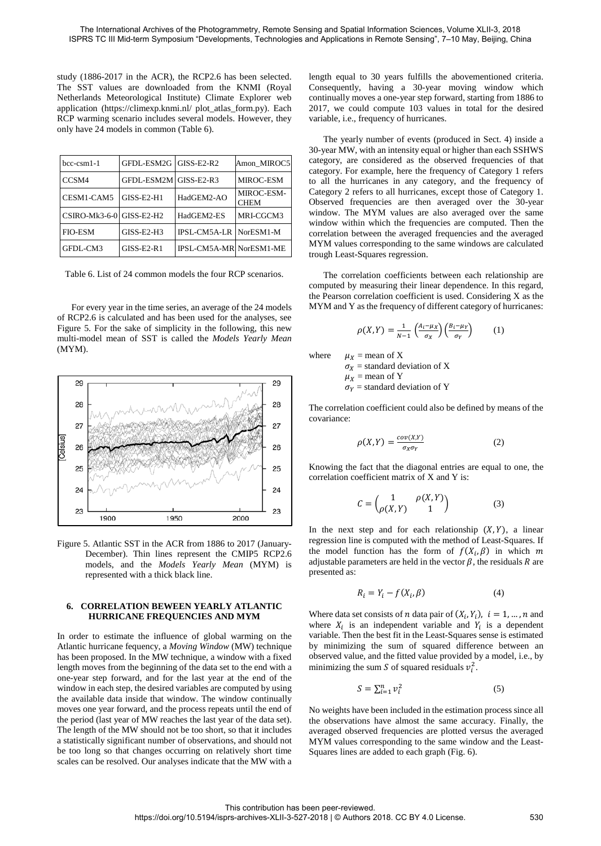study (1886-2017 in the ACR), the RCP2.6 has been selected. The SST values are downloaded from the KNMI (Royal Netherlands Meteorological Institute) Climate Explorer web application (https://climexp.knmi.nl/ plot\_atlas\_form.py). Each RCP warming scenario includes several models. However, they only have 24 models in common (Table 6).

| $bcc-csm1-1$             | GFDL-ESM2G GISS-E2-R2 |                         | Amon MIROC5               |
|--------------------------|-----------------------|-------------------------|---------------------------|
| CCSM4                    | GFDL-ESM2M GISS-E2-R3 |                         | MIROC-ESM                 |
| CESM1-CAM5               | $GISS-E2-H1$          | HadGEM2-AO              | MIROC-ESM-<br><b>CHEM</b> |
| CSIRO-Mk3-6-0 GISS-E2-H2 |                       | HadGEM2-ES              | MRI-CGCM3                 |
| <b>FIO-ESM</b>           | $GISS-E2-H3$          | IPSL-CM5A-LR NorESM1-M  |                           |
| GFDL-CM3                 | $GISS-E2-R1$          | IPSL-CM5A-MR NorESM1-ME |                           |

Table 6. List of 24 common models the four RCP scenarios.

For every year in the time series, an average of the 24 models of RCP2.6 is calculated and has been used for the analyses, see Figure 5. For the sake of simplicity in the following, this new multi-model mean of SST is called the *Models Yearly Mean* (MYM).



Figure 5. Atlantic SST in the ACR from 1886 to 2017 (January-December). Thin lines represent the CMIP5 RCP2.6 models, and the *Models Yearly Mean* (MYM) is represented with a thick black line.

## **6. CORRELATION BEWEEN YEARLY ATLANTIC HURRICANE FREQUENCIES AND MYM**

In order to estimate the influence of global warming on the Atlantic hurricane fequency, a *Moving Window* (MW) technique has been proposed. In the MW technique, a window with a fixed length moves from the beginning of the data set to the end with a one-year step forward, and for the last year at the end of the window in each step, the desired variables are computed by using the available data inside that window. The window continually moves one year forward, and the process repeats until the end of the period (last year of MW reaches the last year of the data set). The length of the MW should not be too short, so that it includes a statistically significant number of observations, and should not be too long so that changes occurring on relatively short time scales can be resolved. Our analyses indicate that the MW with a

length equal to 30 years fulfills the abovementioned criteria. Consequently, having a 30-year moving window which continually moves a one-year step forward, starting from 1886 to 2017, we could compute 103 values in total for the desired variable, i.e., frequency of hurricanes.

The yearly number of events (produced in Sect. 4) inside a 30-year MW, with an intensity equal or higher than each SSHWS category, are considered as the observed frequencies of that category. For example, here the frequency of Category 1 refers to all the hurricanes in any category, and the frequency of Category 2 refers to all hurricanes, except those of Category 1. Observed frequencies are then averaged over the 30-year window. The MYM values are also averaged over the same window within which the frequencies are computed. Then the correlation between the averaged frequencies and the averaged MYM values corresponding to the same windows are calculated trough Least-Squares regression.

The correlation coefficients between each relationship are computed by measuring their linear dependence. In this regard, the Pearson correlation coefficient is used. Considering X as the MYM and Y as the frequency of different category of hurricanes:

$$
\rho(X,Y) = \frac{1}{N-1} \left( \frac{A_i - \mu_X}{\sigma_X} \right) \left( \frac{B_i - \mu_Y}{\sigma_Y} \right) \tag{1}
$$

where  $\mu_X$  = mean of X

$$
\sigma_X
$$
 = standard deviation of X  
\n $\mu_X$  = mean of Y  
\n $\sigma_Y$  = standard deviation of Y

The correlation coefficient could also be defined by means of the covariance:

$$
\rho(X,Y) = \frac{cov(X,Y)}{\sigma_X \sigma_Y} \tag{2}
$$

Knowing the fact that the diagonal entries are equal to one, the correlation coefficient matrix of X and Y is:

$$
C = \begin{pmatrix} 1 & \rho(X,Y) \\ \rho(X,Y) & 1 \end{pmatrix}
$$
 (3)

In the next step and for each relationship  $(X, Y)$ , a linear regression line is computed with the method of Least-Squares. If the model function has the form of  $f(X_i, \beta)$  in which m adjustable parameters are held in the vector  $\beta$ , the residuals R are presented as:

$$
R_i = Y_i - f(X_i, \beta) \tag{4}
$$

Where data set consists of *n* data pair of  $(X_i, Y_i)$ ,  $i = 1, ..., n$  and where  $X_i$  is an independent variable and  $Y_i$  is a dependent variable. Then the best fit in the Least-Squares sense is estimated by minimizing the sum of squared difference between an observed value, and the fitted value provided by a model, i.e., by minimizing the sum *S* of squared residuals  $v_i^2$ .

$$
S = \sum_{i=1}^{n} v_i^2 \tag{5}
$$

No weights have been included in the estimation process since all the observations have almost the same accuracy. Finally, the averaged observed frequencies are plotted versus the averaged MYM values corresponding to the same window and the Least-Squares lines are added to each graph (Fig. 6).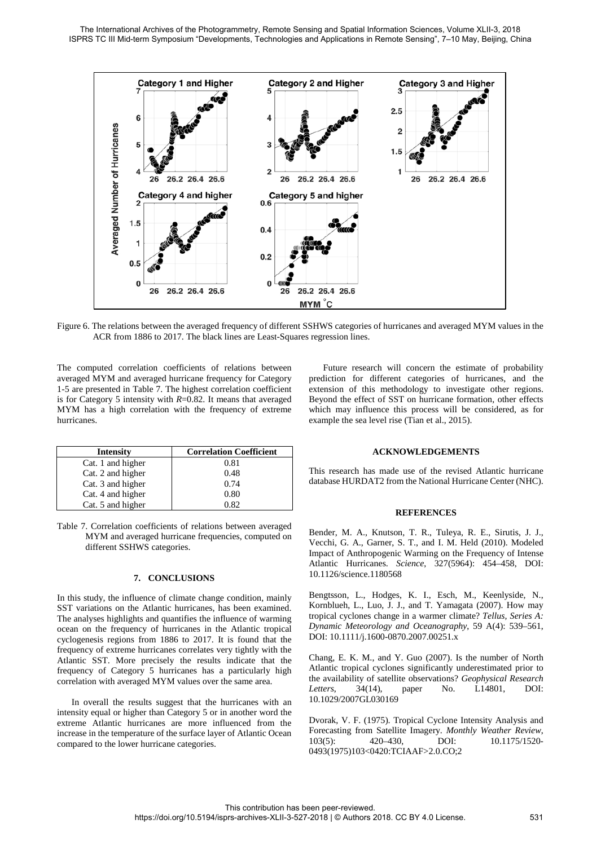

Figure 6. The relations between the averaged frequency of different SSHWS categories of hurricanes and averaged MYM values in the ACR from 1886 to 2017. The black lines are Least-Squares regression lines.

The computed correlation coefficients of relations between averaged MYM and averaged hurricane frequency for Category 1-5 are presented in Table 7. The highest correlation coefficient is for Category 5 intensity with *R*=0.82. It means that averaged MYM has a high correlation with the frequency of extreme hurricanes.

| <b>Intensity</b>  | <b>Correlation Coefficient</b> |
|-------------------|--------------------------------|
| Cat. 1 and higher | 0.81                           |
| Cat. 2 and higher | 0.48                           |
| Cat. 3 and higher | 0.74                           |
| Cat. 4 and higher | 0.80                           |
| Cat. 5 and higher | 0.82                           |

Table 7. Correlation coefficients of relations between averaged MYM and averaged hurricane frequencies, computed on different SSHWS categories.

# **7. CONCLUSIONS**

In this study, the influence of climate change condition, mainly SST variations on the Atlantic hurricanes, has been examined. The analyses highlights and quantifies the influence of warming ocean on the frequency of hurricanes in the Atlantic tropical cyclogenesis regions from 1886 to 2017. It is found that the frequency of extreme hurricanes correlates very tightly with the Atlantic SST. More precisely the results indicate that the frequency of Category 5 hurricanes has a particularly high correlation with averaged MYM values over the same area.

In overall the results suggest that the hurricanes with an intensity equal or higher than Category 5 or in another word the extreme Atlantic hurricanes are more influenced from the increase in the temperature of the surface layer of Atlantic Ocean compared to the lower hurricane categories.

Future research will concern the estimate of probability prediction for different categories of hurricanes, and the extension of this methodology to investigate other regions. Beyond the effect of SST on hurricane formation, other effects which may influence this process will be considered, as for example the sea level rise (Tian et al., 2015).

#### **ACKNOWLEDGEMENTS**

This research has made use of the revised Atlantic hurricane database HURDAT2 from the National Hurricane Center (NHC).

#### **REFERENCES**

Bender, M. A., Knutson, T. R., Tuleya, R. E., Sirutis, J. J., Vecchi, G. A., Garner, S. T., and I. M. Held (2010). Modeled Impact of Anthropogenic Warming on the Frequency of Intense Atlantic Hurricanes. *Science*, 327(5964): 454–458, DOI: 10.1126/science.1180568

Bengtsson, L., Hodges, K. I., Esch, M., Keenlyside, N., Kornblueh, L., Luo, J. J., and T. Yamagata (2007). How may tropical cyclones change in a warmer climate? *Tellus, Series A: Dynamic Meteorology and Oceanography*, 59 A(4): 539–561, DOI: 10.1111/j.1600-0870.2007.00251.x

Chang, E. K. M., and Y. Guo (2007). Is the number of North Atlantic tropical cyclones significantly underestimated prior to the availability of satellite observations? *Geophysical Research Letters*, 34(14), paper No. L14801, DOI: 10.1029/2007GL030169

Dvorak, V. F. (1975). Tropical Cyclone Intensity Analysis and Forecasting from Satellite Imagery. *Monthly Weather Review*, 103(5): 420–430, DOI: 10.1175/1520-0493(1975)103<0420:TCIAAF>2.0.CO;2